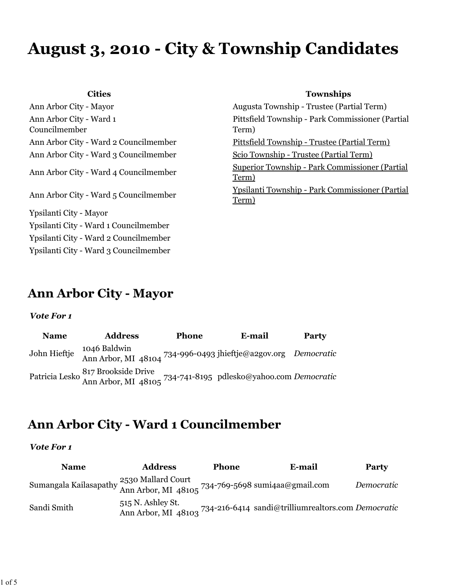# **August 3, 2010 - City & Township Candidates**

Ann Arbor City - Ward 1 Councilmember Ann Arbor City - Ward 3 Councilmember Scio Township - Trustee (Partial Term) Ypsilanti City - Mayor Ypsilanti City - Ward 1 Councilmember Ypsilanti City - Ward 2 Councilmember Ypsilanti City - Ward 3 Councilmember

### **Cities Townships**

Ann Arbor City - Mayor Augusta Township - Trustee (Partial Term) Pittsfield Township - Park Commissioner (Partial Term) Ann Arbor City - Ward 2 Councilmember Pittsfield Township - Trustee (Partial Term) Ann Arbor City - Ward 4 Councilmember Superior Township - Park Commissioner (Partial Term) Ann Arbor City - Ward 5 Councilmember Ypsilanti Township - Park Commissioner (Partial Term)

### **Ann Arbor City - Mayor**

#### *Vote For 1*

| <b>Name</b>  | <b>Address</b>                                                                                      | Phone | <b>E-mail</b> | Party |
|--------------|-----------------------------------------------------------------------------------------------------|-------|---------------|-------|
| John Hieftje | 1046 Baldwin<br>Ann Arbor, MI 48104 734-996-0493 jhieftje@a2gov.org Democratic                      |       |               |       |
|              | Patricia Lesko 817 Brookside Drive<br>Ann Arbor, MI 48105 734-741-8195 pdlesko@yahoo.com Democratic |       |               |       |

### **Ann Arbor City - Ward 1 Councilmember**

| <b>Name</b>                                                                                                            | <b>Address</b>    | <b>Phone</b> | E-mail                                                                 | <b>Party</b> |
|------------------------------------------------------------------------------------------------------------------------|-------------------|--------------|------------------------------------------------------------------------|--------------|
| Sumangala Kailasapathy <sup>25</sup> 30 Mallard Court<br>Ann Arbor, MI 48105 <sup>734-769-5698</sup> sumi4aa@gmail.com |                   |              |                                                                        | Democratic   |
| Sandi Smith                                                                                                            | 515 N. Ashley St. |              | Ann Arbor, MI 48103 734-216-6414 sandi@trilliumrealtors.com Democratic |              |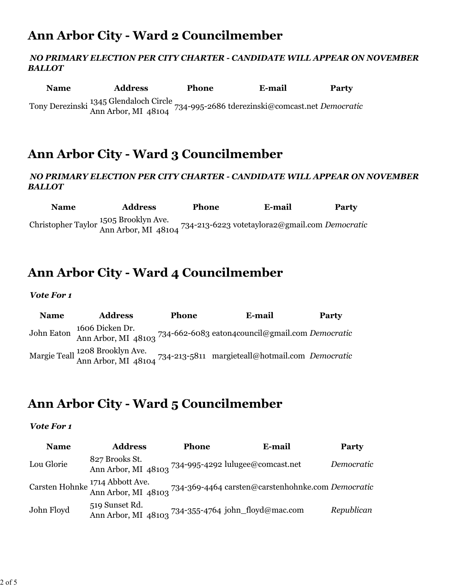# **Ann Arbor City - Ward 2 Councilmember**

### *NO PRIMARY ELECTION PER CITY CHARTER - CANDIDATE WILL APPEAR ON NOVEMBER BALLOT*

| <b>Name</b> | <b>Address</b>                                                                                                | Phone | E-mail | Party |
|-------------|---------------------------------------------------------------------------------------------------------------|-------|--------|-------|
|             | Tony Derezinski 1345 Glendaloch Circle<br>Ann Arbor, MI 48104 734-995-2686 tderezinski@comcast.net Democratic |       |        |       |

### **Ann Arbor City - Ward 3 Councilmember**

### *NO PRIMARY ELECTION PER CITY CHARTER - CANDIDATE WILL APPEAR ON NOVEMBER BALLOT*

**Name Address Phone E-mail Party** Christopher Taylor 1505 Brooklyn Ave. Ann Arbor, MI 48104 734-213-6223 votetaylora2@gmail.com *Democratic*

### **Ann Arbor City - Ward 4 Councilmember**

### *Vote For 1*

**Name Address Phone E-mail Party** John Eaton 1606 Dicken Dr. Ann Arbor, MI 48103 734-662-6083 eaton4council@gmail.com *Democratic* Margie Teall 1208 Brooklyn Ave. Ann Arbor, MI 48104 734-213-5811 margieteall@hotmail.com *Democratic*

### **Ann Arbor City - Ward 5 Councilmember**

| <b>Name</b> | <b>Address</b>                                                         | <b>Phone</b> | E-mail                                                                                                   | <b>Party</b> |
|-------------|------------------------------------------------------------------------|--------------|----------------------------------------------------------------------------------------------------------|--------------|
| Lou Glorie  | 827 Brooks St.<br>Ann Arbor, MI 48103 734-995-4292 lulugee@comcast.net |              |                                                                                                          | Democratic   |
|             |                                                                        |              | Carsten Hohnke 1714 Abbott Ave.<br>Ann Arbor, MI 48103 734-369-4464 carsten@carstenhohnke.com Democratic |              |
| John Floyd  | 519 Sunset Rd.<br>Ann Arbor, MI 48103 734-355-4764 john_floyd@mac.com  |              |                                                                                                          | Republican   |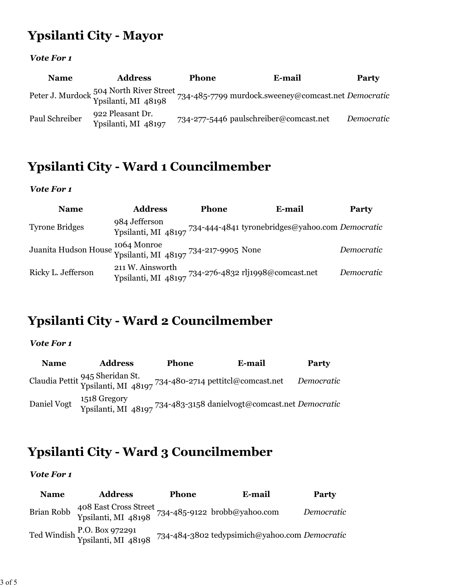# **Ypsilanti City - Mayor**

### *Vote For 1*

| <b>Name</b>    | <b>Address</b>                          | <b>Phone</b> | E-mail                                                                                                             | Party      |
|----------------|-----------------------------------------|--------------|--------------------------------------------------------------------------------------------------------------------|------------|
|                |                                         |              | Peter J. Murdock 504 North River Street<br>Ypsilanti, MI 48198 734-485-7799 murdock.sweeney@comcast.net Democratic |            |
| Paul Schreiber | 922 Pleasant Dr.<br>Ypsilanti, MI 48197 |              | 734-277-5446 paulschreiber@comcast.net                                                                             | Democratic |

# **Ypsilanti City - Ward 1 Councilmember**

### *Vote For 1*

| <b>Name</b>                                                               | <b>Address</b>                                                           | <b>Phone</b> | E-mail                                                              | <b>Party</b> |
|---------------------------------------------------------------------------|--------------------------------------------------------------------------|--------------|---------------------------------------------------------------------|--------------|
| <b>Tyrone Bridges</b>                                                     | 984 Jefferson                                                            |              | Ypsilanti, MI 48197 734-444-4841 tyronebridges@yahoo.com Democratic |              |
| Juanita Hudson House 1064 Monroe<br>Ypsilanti, MI 48197 734-217-9905 None |                                                                          |              |                                                                     | Democratic   |
| Ricky L. Jefferson                                                        | 211 W. Ainsworth<br>Ypsilanti, MI 48197 734-276-4832 rlj1998@comcast.net |              |                                                                     | Democratic   |

# **Ypsilanti City - Ward 2 Councilmember**

### *Vote For 1*

| <b>Name</b> | <b>Address</b> | <b>Phone</b> | E-mail                                                                                              | <b>Party</b> |
|-------------|----------------|--------------|-----------------------------------------------------------------------------------------------------|--------------|
|             |                |              | Claudia Pettit 945 Sheridan St.<br>Ypsilanti, MI 48197 734-480-2714 pettitcl@comcast.net Democratic |              |
| Daniel Vogt |                |              | 1518 Gregory<br>Ypsilanti, MI 48197 <sup>734-48</sup> 3-3158 danielvogt@comcast.net Democratic      |              |

# **Ypsilanti City - Ward 3 Councilmember**

| <b>Name</b> | <b>Address</b>                                                            | <b>Phone</b> | E-mail                                        | Party      |
|-------------|---------------------------------------------------------------------------|--------------|-----------------------------------------------|------------|
| Brian Robb  | 408 East Cross Street<br>Ypsilanti, MI 48198 734-485-9122 brobb@yahoo.com |              |                                               | Democratic |
|             | Ted Windish P.O. Box 972291<br>Ypsilanti, MI 48198                        |              | 734-484-3802 tedypsimich@yahoo.com Democratic |            |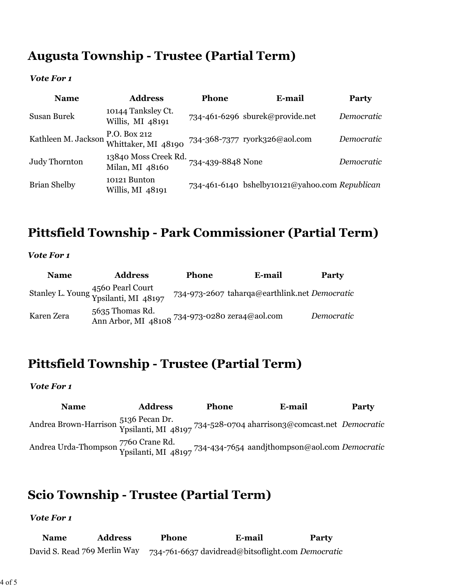# **Augusta Township - Trustee (Partial Term)**

### *Vote For 1*

| <b>Name</b>         | <b>Address</b>                          | Phone             | E-mail                                         | <b>Party</b> |
|---------------------|-----------------------------------------|-------------------|------------------------------------------------|--------------|
| Susan Burek         | 10144 Tanksley Ct.<br>Willis, MI 48191  |                   | 734-461-6296 sburek@provide.net                | Democratic   |
| Kathleen M. Jackson | P.O. Box 212<br>Whittaker, MI 48190     |                   | 734-368-7377 ryork326@aol.com                  | Democratic   |
| Judy Thornton       | 13840 Moss Creek Rd.<br>Milan, MI 48160 | 734-439-8848 None |                                                | Democratic   |
| <b>Brian Shelby</b> | 10121 Bunton<br>Willis, MI 48191        |                   | 734-461-6140 bshelby10121@yahoo.com Republican |              |

# **Pittsfield Township - Park Commissioner (Partial Term)**

#### *Vote For 1*

| <b>Name</b> | <b>Address</b>                                                    | <b>Phone</b> | E-mail                                        | Party      |
|-------------|-------------------------------------------------------------------|--------------|-----------------------------------------------|------------|
|             | Stanley L. Young 4560 Pearl Court<br>Ypsilanti, MI 48197          |              | 734-973-2607 taharqa@earthlink.net Democratic |            |
| Karen Zera  | 5635 Thomas Rd.<br>Ann Arbor, MI 48108 734-973-0280 zera4@aol.com |              |                                               | Democratic |

# **Pittsfield Township - Trustee (Partial Term)**

#### *Vote For 1*

**Name Address Phone E-mail Party** Andrea Brown-Harrison Ypsilanti, MI 48197 734-528-0704 aharrison3@comcast.net *Democratic* Andrea Urda-Thompson 7760 Crane Rd. Ypsilanti, MI 48197 734-434-7654 aandjthompson@aol.com *Democratic*

### **Scio Township - Trustee (Partial Term)**

| <b>Name</b> | <b>Address</b>               | <b>Phone</b> | E-mail                                            | <b>Party</b> |
|-------------|------------------------------|--------------|---------------------------------------------------|--------------|
|             | David S. Read 769 Merlin Way |              | 734-761-6637 davidread@bitsoflight.com Democratic |              |